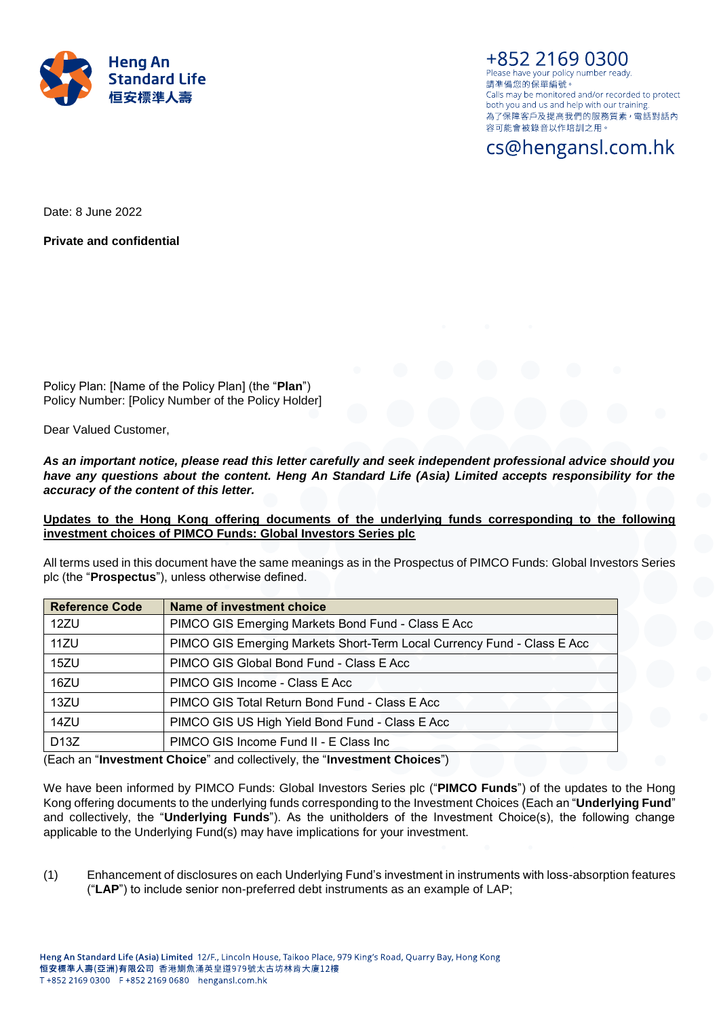

+852 2169 0300 Please have your policy number ready. 請凖備您的保單編號。 Calls may be monitored and/or recorded to protect both you and us and help with our training. 為了保障客戶及提高我們的服務質素, 電話對話內 容可能會被錄音以作培訓之用。

cs@hengansl.com.hk

Date: 8 June 2022

**Private and confidential**

Policy Plan: [Name of the Policy Plan] (the "**Plan**") Policy Number: [Policy Number of the Policy Holder]

Dear Valued Customer,

*As an important notice, please read this letter carefully and seek independent professional advice should you have any questions about the content. Heng An Standard Life (Asia) Limited accepts responsibility for the accuracy of the content of this letter.*

## **Updates to the Hong Kong offering documents of the underlying funds corresponding to the following investment choices of PIMCO Funds: Global Investors Series plc**

All terms used in this document have the same meanings as in the Prospectus of PIMCO Funds: Global Investors Series plc (the "**Prospectus**"), unless otherwise defined.

| <b>Reference Code</b> | Name of investment choice                                               |
|-----------------------|-------------------------------------------------------------------------|
| 12ZU                  | PIMCO GIS Emerging Markets Bond Fund - Class E Acc                      |
| 11ZU                  | PIMCO GIS Emerging Markets Short-Term Local Currency Fund - Class E Acc |
| 15ZU                  | PIMCO GIS Global Bond Fund - Class E Acc                                |
| 16ZU                  | PIMCO GIS Income - Class E Acc                                          |
| 13ZU                  | PIMCO GIS Total Return Bond Fund - Class E Acc                          |
| 14ZU                  | PIMCO GIS US High Yield Bond Fund - Class E Acc                         |
| D13Z                  | PIMCO GIS Income Fund II - E Class Inc                                  |

(Each an "**Investment Choice**" and collectively, the "**Investment Choices**")

We have been informed by PIMCO Funds: Global Investors Series plc ("**PIMCO Funds**") of the updates to the Hong Kong offering documents to the underlying funds corresponding to the Investment Choices (Each an "**Underlying Fund**" and collectively, the "**Underlying Funds**"). As the unitholders of the Investment Choice(s), the following change applicable to the Underlying Fund(s) may have implications for your investment.

(1) Enhancement of disclosures on each Underlying Fund's investment in instruments with loss-absorption features ("**LAP**") to include senior non-preferred debt instruments as an example of LAP;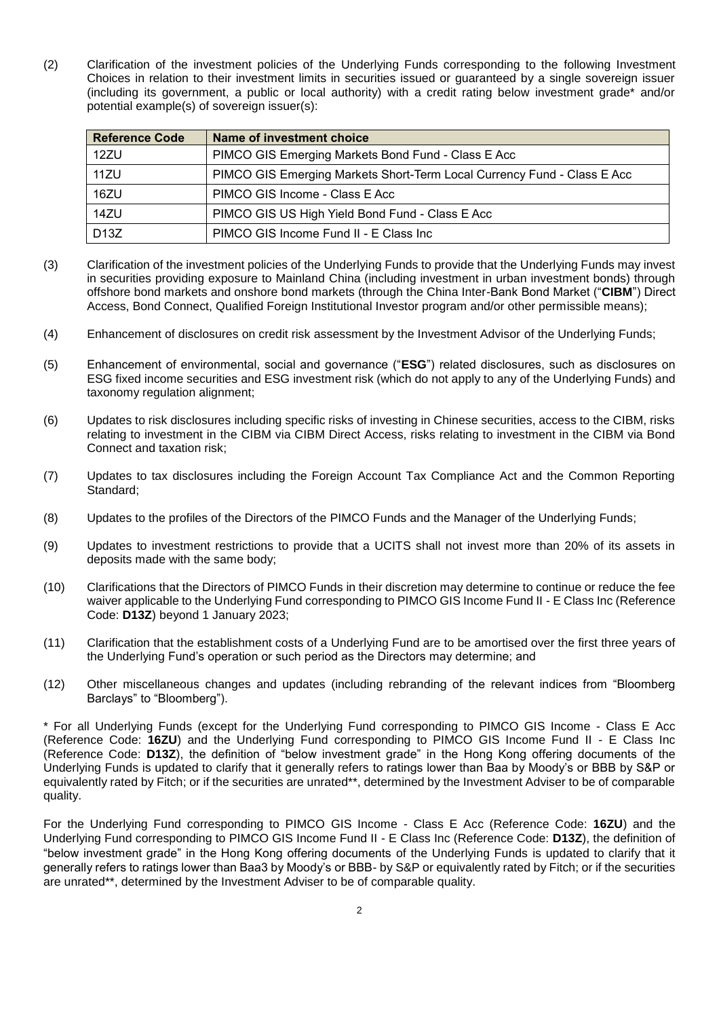(2) Clarification of the investment policies of the Underlying Funds corresponding to the following Investment Choices in relation to their investment limits in securities issued or guaranteed by a single sovereign issuer (including its government, a public or local authority) with a credit rating below investment grade\* and/or potential example(s) of sovereign issuer(s):

| <b>Reference Code</b> | Name of investment choice                                               |
|-----------------------|-------------------------------------------------------------------------|
| 12ZU                  | PIMCO GIS Emerging Markets Bond Fund - Class E Acc                      |
| 11ZU                  | PIMCO GIS Emerging Markets Short-Term Local Currency Fund - Class E Acc |
| 16ZU                  | PIMCO GIS Income - Class E Acc                                          |
| 14ZU                  | PIMCO GIS US High Yield Bond Fund - Class E Acc                         |
| D <sub>13</sub> Z     | PIMCO GIS Income Fund II - E Class Inc                                  |

- (3) Clarification of the investment policies of the Underlying Funds to provide that the Underlying Funds may invest in securities providing exposure to Mainland China (including investment in urban investment bonds) through offshore bond markets and onshore bond markets (through the China Inter-Bank Bond Market ("**CIBM**") Direct Access, Bond Connect, Qualified Foreign Institutional Investor program and/or other permissible means);
- (4) Enhancement of disclosures on credit risk assessment by the Investment Advisor of the Underlying Funds;
- (5) Enhancement of environmental, social and governance ("**ESG**") related disclosures, such as disclosures on ESG fixed income securities and ESG investment risk (which do not apply to any of the Underlying Funds) and taxonomy regulation alignment;
- (6) Updates to risk disclosures including specific risks of investing in Chinese securities, access to the CIBM, risks relating to investment in the CIBM via CIBM Direct Access, risks relating to investment in the CIBM via Bond Connect and taxation risk;
- (7) Updates to tax disclosures including the Foreign Account Tax Compliance Act and the Common Reporting Standard;
- (8) Updates to the profiles of the Directors of the PIMCO Funds and the Manager of the Underlying Funds;
- (9) Updates to investment restrictions to provide that a UCITS shall not invest more than 20% of its assets in deposits made with the same body;
- (10) Clarifications that the Directors of PIMCO Funds in their discretion may determine to continue or reduce the fee waiver applicable to the Underlying Fund corresponding to PIMCO GIS Income Fund II - E Class Inc (Reference Code: **D13Z**) beyond 1 January 2023;
- (11) Clarification that the establishment costs of a Underlying Fund are to be amortised over the first three years of the Underlying Fund's operation or such period as the Directors may determine; and
- (12) Other miscellaneous changes and updates (including rebranding of the relevant indices from "Bloomberg Barclays" to "Bloomberg").

\* For all Underlying Funds (except for the Underlying Fund corresponding to PIMCO GIS Income - Class E Acc (Reference Code: **16ZU**) and the Underlying Fund corresponding to PIMCO GIS Income Fund II - E Class Inc (Reference Code: **D13Z**), the definition of "below investment grade" in the Hong Kong offering documents of the Underlying Funds is updated to clarify that it generally refers to ratings lower than Baa by Moody's or BBB by S&P or equivalently rated by Fitch; or if the securities are unrated\*\*, determined by the Investment Adviser to be of comparable quality.

For the Underlying Fund corresponding to PIMCO GIS Income - Class E Acc (Reference Code: **16ZU**) and the Underlying Fund corresponding to PIMCO GIS Income Fund II - E Class Inc (Reference Code: **D13Z**), the definition of "below investment grade" in the Hong Kong offering documents of the Underlying Funds is updated to clarify that it generally refers to ratings lower than Baa3 by Moody's or BBB- by S&P or equivalently rated by Fitch; or if the securities are unrated\*\*, determined by the Investment Adviser to be of comparable quality.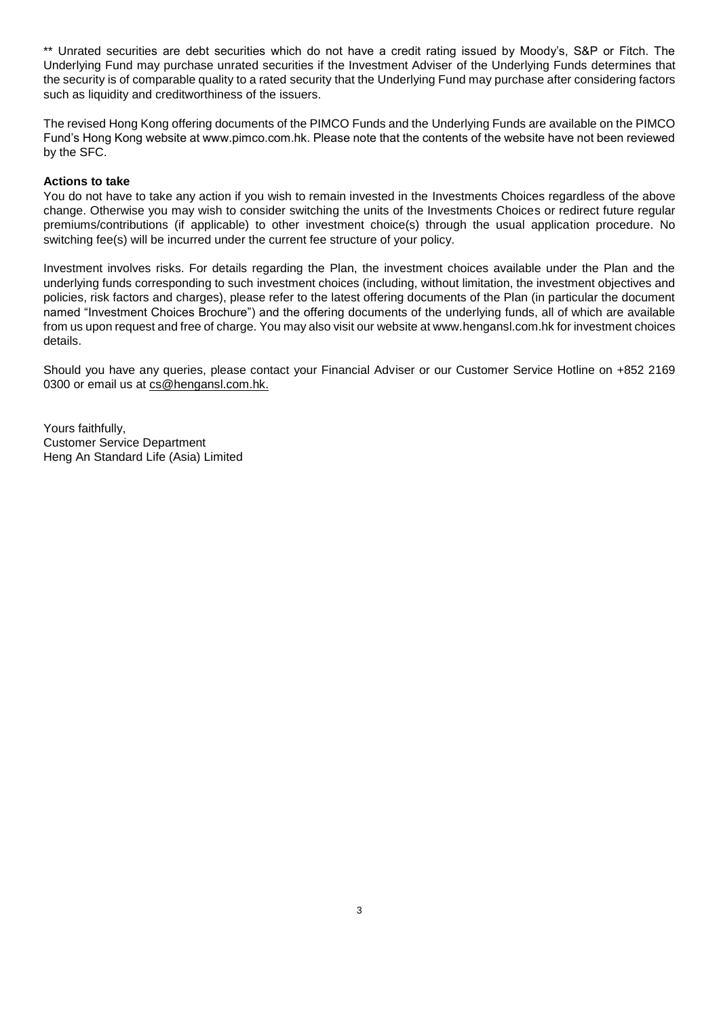\*\* Unrated securities are debt securities which do not have a credit rating issued by Moody's, S&P or Fitch. The Underlying Fund may purchase unrated securities if the Investment Adviser of the Underlying Funds determines that the security is of comparable quality to a rated security that the Underlying Fund may purchase after considering factors such as liquidity and creditworthiness of the issuers.

The revised Hong Kong offering documents of the PIMCO Funds and the Underlying Funds are available on the PIMCO Fund's Hong Kong website at www.pimco.com.hk. Please note that the contents of the website have not been reviewed by the SFC.

## **Actions to take**

You do not have to take any action if you wish to remain invested in the Investments Choices regardless of the above change. Otherwise you may wish to consider switching the units of the Investments Choices or redirect future regular premiums/contributions (if applicable) to other investment choice(s) through the usual application procedure. No switching fee(s) will be incurred under the current fee structure of your policy.

Investment involves risks. For details regarding the Plan, the investment choices available under the Plan and the underlying funds corresponding to such investment choices (including, without limitation, the investment objectives and policies, risk factors and charges), please refer to the latest offering documents of the Plan (in particular the document named "Investment Choices Brochure") and the offering documents of the underlying funds, all of which are available from us upon request and free of charge. You may also visit our website at www.hengansl.com.hk for investment choices details.

Should you have any queries, please contact your Financial Adviser or our Customer Service Hotline on +852 2169 0300 or email us at [cs@hengansl.com.hk.](mailto:cs@hengansl.com.hk)

Yours faithfully, Customer Service Department Heng An Standard Life (Asia) Limited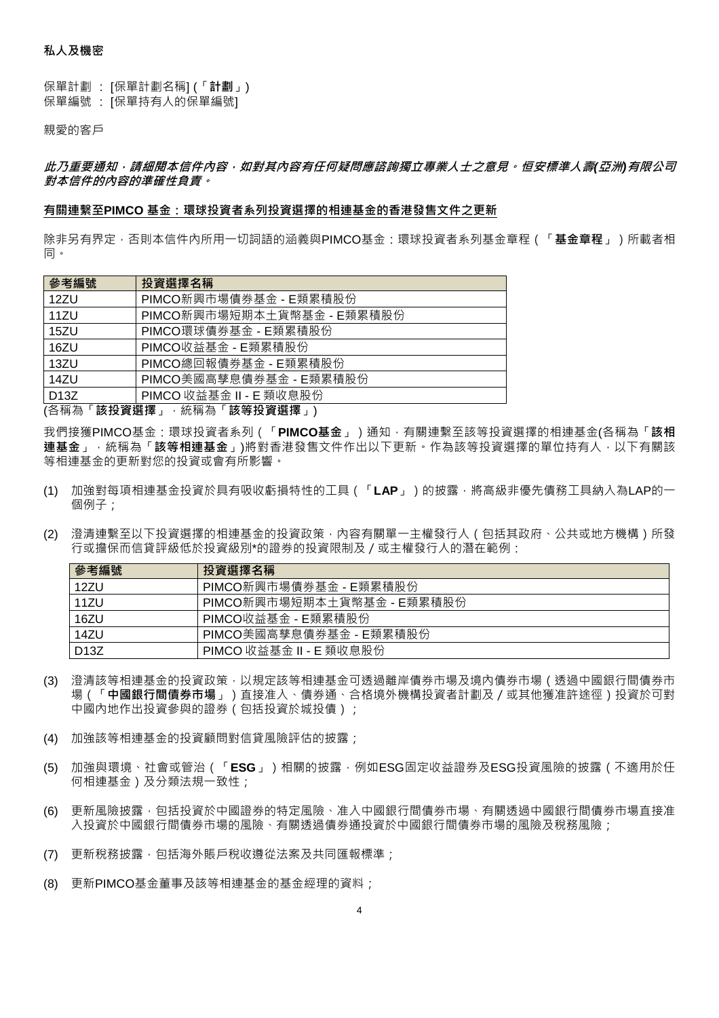保單計劃 : [保單計劃名稱] (「**計劃**」) 保單編號 : [保單持有人的保單編號]

親愛的客戶

**此乃重要通知,請細閱本信件內容,如對其內容有任何疑問應諮詢獨立專業人士之意見。恒安標準人壽***(***亞洲***)***有限公司 對本信件的內容的準確性負責。**

## **有關連繫至PIMCO 基金:環球投資者系列投資選擇的相連基金的香港發售文件之更新**

除非另有界定,否則本信件內所用一切詞語的涵義與PIMCO基金:環球投資者系列基金章程(「**基金章程**」)所載者相 同。

| 參考編號 | 投資選擇名稱                     |  |
|------|----------------------------|--|
| 12ZU | PIMCO新興市場債券基金 - E類累積股份     |  |
| 11ZU | PIMCO新興市場短期本土貨幣基金 - E類累積股份 |  |
| 15ZU | PIMCO環球債券基金 - E類累積股份       |  |
| 16ZU | PIMCO收益基金 - E類累積股份         |  |
| 13ZU | PIMCO總回報債券基金 - E類累積股份      |  |
| 14ZU | PIMCO美國高孳息債券基金 - E類累積股份    |  |
| D13Z | PIMCO 收益基金 II - E 類收息股份    |  |
|      |                            |  |

(各稱為「**該投資選擇**」,統稱為「**該等投資選擇**」)

我們接獲PIMCO基金:環球投資者系列(「**PIMCO基金**」)通知,有關連繫至該等投資選擇的相連基金(各稱為「**該相 連基金**」,統稱為「**該等相連基金**」)將對香港發售文件作出以下更新。作為該等投資選擇的單位持有人,以下有關該 等相連基金的更新對您的投資或會有所影響。

- (1) 加強對每項相連基金投資於具有吸收虧損特性的工具(「**LAP**」)的披露,將高級非優先債務工具納入為LAP的一 個例子;
- (2) 澄清連繫至以下投資選擇的相連基金的投資政策,內容有關單一主權發行人(包括其政府、公共或地方機構)所發 行或擔保而信貸評級低於投資級別\*的證券的投資限制及/或主權發行人的潛在範例:

| 參考編號 | 投資選擇名稱                     |
|------|----------------------------|
| 12ZU | PIMCO新興市場債券基金 - E類累積股份     |
| 11ZU | PIMCO新興市場短期本土貨幣基金 - E類累積股份 |
| 16ZU | PIMCO收益基金 - E類累積股份         |
| 14ZU | PIMCO美國高孳息債券基金 - E類累積股份    |
| D13Z | PIMCO 收益基金 II - E 類收息股份    |

(3) 澄清該等相連基金的投資政策,以規定該等相連基金可透過離岸債券市場及境內債券市場(透過中國銀行間債券市 場(「**中國銀行間債券市場**」)直接准入、債券通、合格境外機構投資者計劃及/或其他獲准許途徑)投資於可對 中國內地作出投資參與的證券 ( 包括投資於城投債 ) ;

(4) 加強該等相連基金的投資顧問對信貸風險評估的披露;

- (5) 加強與環境、社會或管治(「**ESG**」)相關的披露,例如ESG固定收益證券及ESG投資風險的披露(不適用於任 何相連基金)及分類法規一致性;
- (6) 更新風險披露 · 包括投資於中國證券的特定風險、准入中國銀行間債券市場、有關透過中國銀行間債券市場直接准 入投資於中國銀行間債券市場的風險、有關透過債券通投資於中國銀行間債券市場的風險及稅務風險;
- (7) 更新稅務披露,包括海外賬戶稅收遵從法案及共同匯報標準;
- (8) 更新PIMCO基金董事及該等相連基金的基金經理的資料;